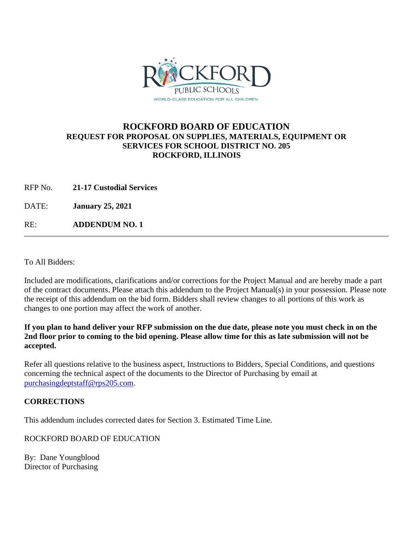

## **ROCKFORD BOARD OF EDUCATION REQUEST FOR PROPOSAL ON SUPPLIES, MATERIALS, EQUIPMENT OR SERVICES FOR SCHOOL DISTRICT NO. 205 ROCKFORD, ILLINOIS**

RFP No. **21-17 Custodial Services**

DATE: **January 25, 2021**

RE: **ADDENDUM NO. 1**

To All Bidders:

Included are modifications, clarifications and/or corrections for the Project Manual and are hereby made a part of the contract documents. Please attach this addendum to the Project Manual(s) in your possession. Please note the receipt of this addendum on the bid form. Bidders shall review changes to all portions of this work as changes to one portion may affect the work of another.

**If you plan to hand deliver your RFP submission on the due date, please note you must check in on the 2nd floor prior to coming to the bid opening. Please allow time for this as late submission will not be accepted.**

Refer all questions relative to the business aspect, Instructions to Bidders, Special Conditions, and questions concerning the technical aspect of the documents to the Director of Purchasing by email at [purchasingdeptstaff@rps205.com.](mailto:purchasingdeptstaff@rps205.com)

## **CORRECTIONS**

This addendum includes corrected dates for Section 3. Estimated Time Line.

ROCKFORD BOARD OF EDUCATION

By: Dane Youngblood Director of Purchasing